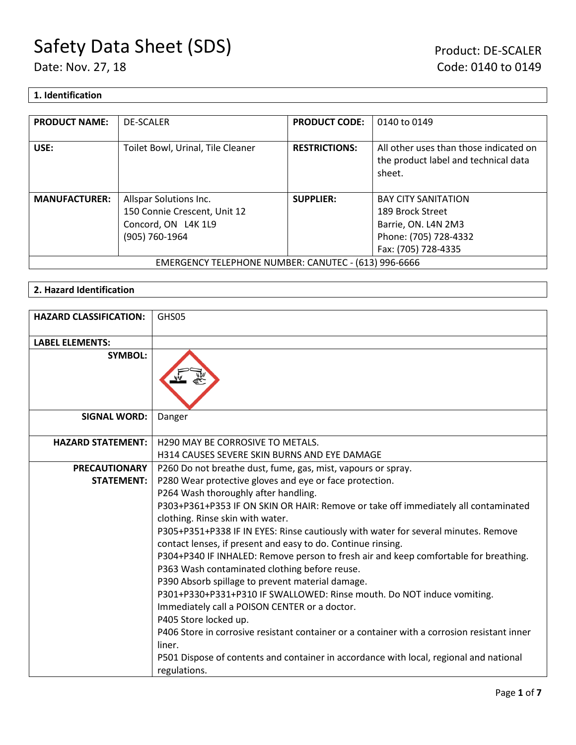### **1. Identification**

| <b>PRODUCT NAME:</b>                                 | <b>DE-SCALER</b>                  | <b>PRODUCT CODE:</b> | 0140 to 0149                                                                             |
|------------------------------------------------------|-----------------------------------|----------------------|------------------------------------------------------------------------------------------|
| USE:                                                 | Toilet Bowl, Urinal, Tile Cleaner | <b>RESTRICTIONS:</b> | All other uses than those indicated on<br>the product label and technical data<br>sheet. |
| <b>MANUFACTURER:</b>                                 | Allspar Solutions Inc.            | <b>SUPPLIER:</b>     | <b>BAY CITY SANITATION</b>                                                               |
|                                                      | 150 Connie Crescent, Unit 12      |                      | 189 Brock Street                                                                         |
|                                                      | Concord, ON L4K 1L9               |                      | Barrie, ON. L4N 2M3                                                                      |
|                                                      | (905) 760-1964                    |                      | Phone: (705) 728-4332                                                                    |
|                                                      |                                   |                      | Fax: (705) 728-4335                                                                      |
| EMERGENCY TELEPHONE NUMBER: CANUTEC - (613) 996-6666 |                                   |                      |                                                                                          |

### **2. Hazard Identification**

| <b>HAZARD CLASSIFICATION:</b> | GHS05                                                                                                                                              |
|-------------------------------|----------------------------------------------------------------------------------------------------------------------------------------------------|
| <b>LABEL ELEMENTS:</b>        |                                                                                                                                                    |
| <b>SYMBOL:</b>                |                                                                                                                                                    |
| <b>SIGNAL WORD:</b>           | Danger                                                                                                                                             |
| <b>HAZARD STATEMENT:</b>      | H290 MAY BE CORROSIVE TO METALS.                                                                                                                   |
|                               | <b>H314 CAUSES SEVERE SKIN BURNS AND EYE DAMAGE</b>                                                                                                |
| <b>PRECAUTIONARY</b>          | P260 Do not breathe dust, fume, gas, mist, vapours or spray.                                                                                       |
| <b>STATEMENT:</b>             | P280 Wear protective gloves and eye or face protection.                                                                                            |
|                               | P264 Wash thoroughly after handling.                                                                                                               |
|                               | P303+P361+P353 IF ON SKIN OR HAIR: Remove or take off immediately all contaminated                                                                 |
|                               | clothing. Rinse skin with water.                                                                                                                   |
|                               | P305+P351+P338 IF IN EYES: Rinse cautiously with water for several minutes. Remove<br>contact lenses, if present and easy to do. Continue rinsing. |
|                               | P304+P340 IF INHALED: Remove person to fresh air and keep comfortable for breathing.                                                               |
|                               | P363 Wash contaminated clothing before reuse.                                                                                                      |
|                               | P390 Absorb spillage to prevent material damage.                                                                                                   |
|                               | P301+P330+P331+P310 IF SWALLOWED: Rinse mouth. Do NOT induce vomiting.                                                                             |
|                               | Immediately call a POISON CENTER or a doctor.                                                                                                      |
|                               | P405 Store locked up.                                                                                                                              |
|                               | P406 Store in corrosive resistant container or a container with a corrosion resistant inner<br>liner.                                              |
|                               | P501 Dispose of contents and container in accordance with local, regional and national                                                             |
|                               | regulations.                                                                                                                                       |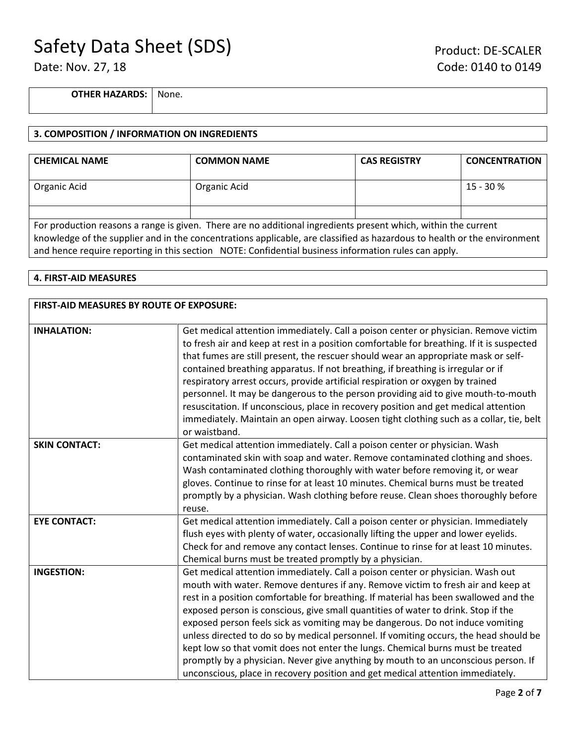**OTHER HAZARDS:** None.

#### **3. COMPOSITION / INFORMATION ON INGREDIENTS**

| <b>CHEMICAL NAME</b>                                                                                                                                                                                                                                                                                                                               | <b>COMMON NAME</b> | <b>CAS REGISTRY</b> | <b>CONCENTRATION</b> |
|----------------------------------------------------------------------------------------------------------------------------------------------------------------------------------------------------------------------------------------------------------------------------------------------------------------------------------------------------|--------------------|---------------------|----------------------|
| Organic Acid                                                                                                                                                                                                                                                                                                                                       | Organic Acid       |                     | $15 - 30%$           |
|                                                                                                                                                                                                                                                                                                                                                    |                    |                     |                      |
| For production reasons a range is given. There are no additional ingredients present which, within the current<br>knowledge of the supplier and in the concentrations applicable, are classified as hazardous to health or the environment<br>and hence require reporting in this section NOTE: Confidential business information rules can apply. |                    |                     |                      |

#### **4. FIRST-AID MEASURES**

| FIRST-AID MEASURES BY ROUTE OF EXPOSURE: |                                                                                                                                                                                  |  |
|------------------------------------------|----------------------------------------------------------------------------------------------------------------------------------------------------------------------------------|--|
| <b>INHALATION:</b>                       |                                                                                                                                                                                  |  |
|                                          | Get medical attention immediately. Call a poison center or physician. Remove victim<br>to fresh air and keep at rest in a position comfortable for breathing. If it is suspected |  |
|                                          | that fumes are still present, the rescuer should wear an appropriate mask or self-                                                                                               |  |
|                                          | contained breathing apparatus. If not breathing, if breathing is irregular or if                                                                                                 |  |
|                                          | respiratory arrest occurs, provide artificial respiration or oxygen by trained                                                                                                   |  |
|                                          | personnel. It may be dangerous to the person providing aid to give mouth-to-mouth                                                                                                |  |
|                                          | resuscitation. If unconscious, place in recovery position and get medical attention                                                                                              |  |
|                                          | immediately. Maintain an open airway. Loosen tight clothing such as a collar, tie, belt                                                                                          |  |
|                                          | or waistband.                                                                                                                                                                    |  |
| <b>SKIN CONTACT:</b>                     | Get medical attention immediately. Call a poison center or physician. Wash                                                                                                       |  |
|                                          | contaminated skin with soap and water. Remove contaminated clothing and shoes.                                                                                                   |  |
|                                          | Wash contaminated clothing thoroughly with water before removing it, or wear                                                                                                     |  |
|                                          | gloves. Continue to rinse for at least 10 minutes. Chemical burns must be treated                                                                                                |  |
|                                          | promptly by a physician. Wash clothing before reuse. Clean shoes thoroughly before                                                                                               |  |
|                                          | reuse.                                                                                                                                                                           |  |
| <b>EYE CONTACT:</b>                      | Get medical attention immediately. Call a poison center or physician. Immediately                                                                                                |  |
|                                          | flush eyes with plenty of water, occasionally lifting the upper and lower eyelids.                                                                                               |  |
|                                          | Check for and remove any contact lenses. Continue to rinse for at least 10 minutes.                                                                                              |  |
|                                          | Chemical burns must be treated promptly by a physician.                                                                                                                          |  |
| <b>INGESTION:</b>                        | Get medical attention immediately. Call a poison center or physician. Wash out                                                                                                   |  |
|                                          | mouth with water. Remove dentures if any. Remove victim to fresh air and keep at                                                                                                 |  |
|                                          | rest in a position comfortable for breathing. If material has been swallowed and the                                                                                             |  |
|                                          | exposed person is conscious, give small quantities of water to drink. Stop if the                                                                                                |  |
|                                          | exposed person feels sick as vomiting may be dangerous. Do not induce vomiting                                                                                                   |  |
|                                          | unless directed to do so by medical personnel. If vomiting occurs, the head should be                                                                                            |  |
|                                          | kept low so that vomit does not enter the lungs. Chemical burns must be treated                                                                                                  |  |
|                                          | promptly by a physician. Never give anything by mouth to an unconscious person. If                                                                                               |  |
|                                          | unconscious, place in recovery position and get medical attention immediately.                                                                                                   |  |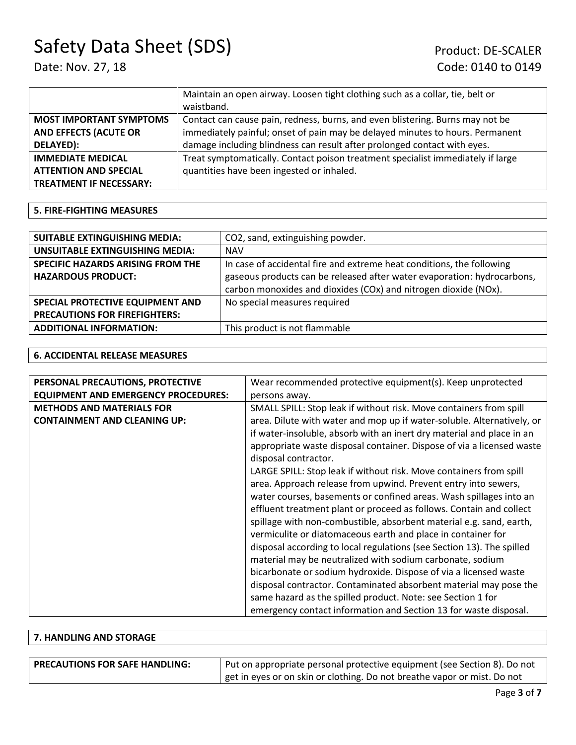|                                | Maintain an open airway. Loosen tight clothing such as a collar, tie, belt or   |
|--------------------------------|---------------------------------------------------------------------------------|
|                                | waistband.                                                                      |
| <b>MOST IMPORTANT SYMPTOMS</b> | Contact can cause pain, redness, burns, and even blistering. Burns may not be   |
| <b>AND EFFECTS (ACUTE OR</b>   | immediately painful; onset of pain may be delayed minutes to hours. Permanent   |
| DELAYED):                      | damage including blindness can result after prolonged contact with eyes.        |
| <b>IMMEDIATE MEDICAL</b>       | Treat symptomatically. Contact poison treatment specialist immediately if large |
| <b>ATTENTION AND SPECIAL</b>   | quantities have been ingested or inhaled.                                       |
| <b>TREATMENT IF NECESSARY:</b> |                                                                                 |

#### **5. FIRE-FIGHTING MEASURES**

| <b>SUITABLE EXTINGUISHING MEDIA:</b>   | CO2, sand, extinguishing powder.                                        |
|----------------------------------------|-------------------------------------------------------------------------|
| <b>UNSUITABLE EXTINGUISHING MEDIA:</b> | <b>NAV</b>                                                              |
| SPECIFIC HAZARDS ARISING FROM THE      | In case of accidental fire and extreme heat conditions, the following   |
| <b>HAZARDOUS PRODUCT:</b>              | gaseous products can be released after water evaporation: hydrocarbons, |
|                                        | carbon monoxides and dioxides (COx) and nitrogen dioxide (NOx).         |
| SPECIAL PROTECTIVE EQUIPMENT AND       | No special measures required                                            |
| <b>PRECAUTIONS FOR FIREFIGHTERS:</b>   |                                                                         |
| <b>ADDITIONAL INFORMATION:</b>         | This product is not flammable                                           |

#### **6. ACCIDENTAL RELEASE MEASURES**

| PERSONAL PRECAUTIONS, PROTECTIVE           | Wear recommended protective equipment(s). Keep unprotected             |
|--------------------------------------------|------------------------------------------------------------------------|
| <b>EQUIPMENT AND EMERGENCY PROCEDURES:</b> |                                                                        |
|                                            | persons away.                                                          |
| <b>METHODS AND MATERIALS FOR</b>           | SMALL SPILL: Stop leak if without risk. Move containers from spill     |
| <b>CONTAINMENT AND CLEANING UP:</b>        | area. Dilute with water and mop up if water-soluble. Alternatively, or |
|                                            | if water-insoluble, absorb with an inert dry material and place in an  |
|                                            | appropriate waste disposal container. Dispose of via a licensed waste  |
|                                            | disposal contractor.                                                   |
|                                            | LARGE SPILL: Stop leak if without risk. Move containers from spill     |
|                                            | area. Approach release from upwind. Prevent entry into sewers,         |
|                                            | water courses, basements or confined areas. Wash spillages into an     |
|                                            | effluent treatment plant or proceed as follows. Contain and collect    |
|                                            | spillage with non-combustible, absorbent material e.g. sand, earth,    |
|                                            | vermiculite or diatomaceous earth and place in container for           |
|                                            | disposal according to local regulations (see Section 13). The spilled  |
|                                            | material may be neutralized with sodium carbonate, sodium              |
|                                            | bicarbonate or sodium hydroxide. Dispose of via a licensed waste       |
|                                            | disposal contractor. Contaminated absorbent material may pose the      |
|                                            | same hazard as the spilled product. Note: see Section 1 for            |
|                                            | emergency contact information and Section 13 for waste disposal.       |

## **7. HANDLING AND STORAGE PRECAUTIONS FOR SAFE HANDLING:** Put on appropriate personal protective equipment (see Section 8). Do not get in eyes or on skin or clothing. Do not breathe vapor or mist. Do not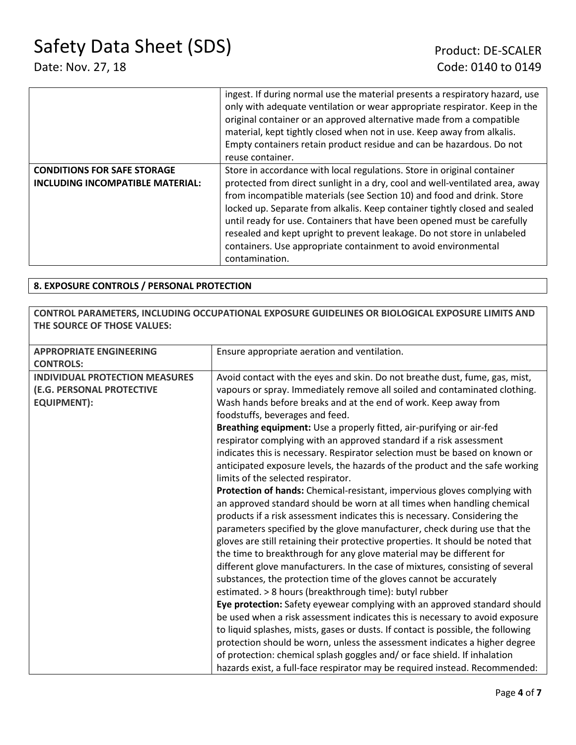|                                         | ingest. If during normal use the material presents a respiratory hazard, use<br>only with adequate ventilation or wear appropriate respirator. Keep in the<br>original container or an approved alternative made from a compatible<br>material, kept tightly closed when not in use. Keep away from alkalis.<br>Empty containers retain product residue and can be hazardous. Do not<br>reuse container. |
|-----------------------------------------|----------------------------------------------------------------------------------------------------------------------------------------------------------------------------------------------------------------------------------------------------------------------------------------------------------------------------------------------------------------------------------------------------------|
| <b>CONDITIONS FOR SAFE STORAGE</b>      | Store in accordance with local regulations. Store in original container                                                                                                                                                                                                                                                                                                                                  |
| <b>INCLUDING INCOMPATIBLE MATERIAL:</b> | protected from direct sunlight in a dry, cool and well-ventilated area, away                                                                                                                                                                                                                                                                                                                             |
|                                         | from incompatible materials (see Section 10) and food and drink. Store                                                                                                                                                                                                                                                                                                                                   |
|                                         | locked up. Separate from alkalis. Keep container tightly closed and sealed                                                                                                                                                                                                                                                                                                                               |
|                                         | until ready for use. Containers that have been opened must be carefully                                                                                                                                                                                                                                                                                                                                  |
|                                         | resealed and kept upright to prevent leakage. Do not store in unlabeled                                                                                                                                                                                                                                                                                                                                  |
|                                         | containers. Use appropriate containment to avoid environmental                                                                                                                                                                                                                                                                                                                                           |
|                                         | contamination.                                                                                                                                                                                                                                                                                                                                                                                           |

### **8. EXPOSURE CONTROLS / PERSONAL PROTECTION**

### **CONTROL PARAMETERS, INCLUDING OCCUPATIONAL EXPOSURE GUIDELINES OR BIOLOGICAL EXPOSURE LIMITS AND THE SOURCE OF THOSE VALUES:**

| <b>APPROPRIATE ENGINEERING</b>                                                           | Ensure appropriate aeration and ventilation.                                                                                                                                                                                                                                                                                                                                                                                                                                                                                                                                                                                                                                                                                                                                                                                                                                                                                                                                                                              |
|------------------------------------------------------------------------------------------|---------------------------------------------------------------------------------------------------------------------------------------------------------------------------------------------------------------------------------------------------------------------------------------------------------------------------------------------------------------------------------------------------------------------------------------------------------------------------------------------------------------------------------------------------------------------------------------------------------------------------------------------------------------------------------------------------------------------------------------------------------------------------------------------------------------------------------------------------------------------------------------------------------------------------------------------------------------------------------------------------------------------------|
| <b>CONTROLS:</b>                                                                         |                                                                                                                                                                                                                                                                                                                                                                                                                                                                                                                                                                                                                                                                                                                                                                                                                                                                                                                                                                                                                           |
| <b>INDIVIDUAL PROTECTION MEASURES</b><br>(E.G. PERSONAL PROTECTIVE<br><b>EQUIPMENT):</b> | Avoid contact with the eyes and skin. Do not breathe dust, fume, gas, mist,<br>vapours or spray. Immediately remove all soiled and contaminated clothing.<br>Wash hands before breaks and at the end of work. Keep away from<br>foodstuffs, beverages and feed.<br>Breathing equipment: Use a properly fitted, air-purifying or air-fed<br>respirator complying with an approved standard if a risk assessment<br>indicates this is necessary. Respirator selection must be based on known or<br>anticipated exposure levels, the hazards of the product and the safe working<br>limits of the selected respirator.<br>Protection of hands: Chemical-resistant, impervious gloves complying with<br>an approved standard should be worn at all times when handling chemical<br>products if a risk assessment indicates this is necessary. Considering the<br>parameters specified by the glove manufacturer, check during use that the<br>gloves are still retaining their protective properties. It should be noted that |
|                                                                                          | the time to breakthrough for any glove material may be different for<br>different glove manufacturers. In the case of mixtures, consisting of several<br>substances, the protection time of the gloves cannot be accurately<br>estimated. > 8 hours (breakthrough time): butyl rubber<br>Eye protection: Safety eyewear complying with an approved standard should<br>be used when a risk assessment indicates this is necessary to avoid exposure<br>to liquid splashes, mists, gases or dusts. If contact is possible, the following<br>protection should be worn, unless the assessment indicates a higher degree<br>of protection: chemical splash goggles and/ or face shield. If inhalation<br>hazards exist, a full-face respirator may be required instead. Recommended:                                                                                                                                                                                                                                          |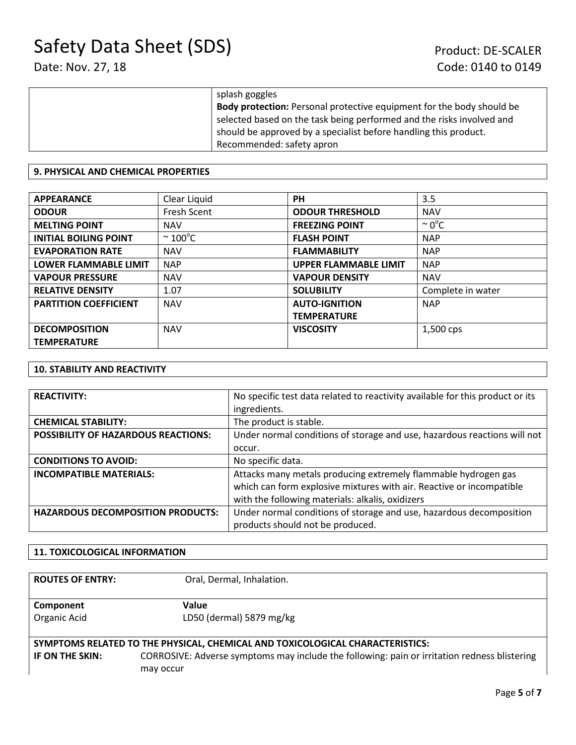| splash goggles                                                               |
|------------------------------------------------------------------------------|
| <b>Body protection:</b> Personal protective equipment for the body should be |
| selected based on the task being performed and the risks involved and        |
| should be approved by a specialist before handling this product.             |
| Recommended: safety apron                                                    |

#### **9. PHYSICAL AND CHEMICAL PROPERTIES**

| <b>APPEARANCE</b>            | Clear Liquid            | <b>PH</b>                    | 3.5                |
|------------------------------|-------------------------|------------------------------|--------------------|
| <b>ODOUR</b>                 | Fresh Scent             | <b>ODOUR THRESHOLD</b>       | <b>NAV</b>         |
| <b>MELTING POINT</b>         | <b>NAV</b>              | <b>FREEZING POINT</b>        | $\sim 0^{\circ}$ C |
| <b>INITIAL BOILING POINT</b> | $\sim$ 100 $^{\circ}$ C | <b>FLASH POINT</b>           | <b>NAP</b>         |
| <b>EVAPORATION RATE</b>      | <b>NAV</b>              | <b>FLAMMABILITY</b>          | <b>NAP</b>         |
| <b>LOWER FLAMMABLE LIMIT</b> | <b>NAP</b>              | <b>UPPER FLAMMABLE LIMIT</b> | <b>NAP</b>         |
| <b>VAPOUR PRESSURE</b>       | <b>NAV</b>              | <b>VAPOUR DENSITY</b>        | <b>NAV</b>         |
| <b>RELATIVE DENSITY</b>      | 1.07                    | <b>SOLUBILITY</b>            | Complete in water  |
| <b>PARTITION COEFFICIENT</b> | <b>NAV</b>              | <b>AUTO-IGNITION</b>         | <b>NAP</b>         |
|                              |                         | <b>TEMPERATURE</b>           |                    |
| <b>DECOMPOSITION</b>         | <b>NAV</b>              | <b>VISCOSITY</b>             | 1,500 cps          |
| <b>TEMPERATURE</b>           |                         |                              |                    |

#### **10. STABILITY AND REACTIVITY**

| <b>REACTIVITY:</b>                         | No specific test data related to reactivity available for this product or its |  |
|--------------------------------------------|-------------------------------------------------------------------------------|--|
|                                            | ingredients.                                                                  |  |
| <b>CHEMICAL STABILITY:</b>                 | The product is stable.                                                        |  |
| <b>POSSIBILITY OF HAZARDOUS REACTIONS:</b> | Under normal conditions of storage and use, hazardous reactions will not      |  |
|                                            | occur.                                                                        |  |
| <b>CONDITIONS TO AVOID:</b>                | No specific data.                                                             |  |
| <b>INCOMPATIBLE MATERIALS:</b>             | Attacks many metals producing extremely flammable hydrogen gas                |  |
|                                            | which can form explosive mixtures with air. Reactive or incompatible          |  |
|                                            | with the following materials: alkalis, oxidizers                              |  |
| <b>HAZARDOUS DECOMPOSITION PRODUCTS:</b>   | Under normal conditions of storage and use, hazardous decomposition           |  |
|                                            | products should not be produced.                                              |  |

#### **11. TOXICOLOGICAL INFORMATION**

| <b>ROUTES OF ENTRY:</b>   | Oral, Dermal, Inhalation.                                                                                                                                                                  |
|---------------------------|--------------------------------------------------------------------------------------------------------------------------------------------------------------------------------------------|
| Component<br>Organic Acid | Value<br>LD50 (dermal) 5879 mg/kg                                                                                                                                                          |
| IF ON THE SKIN:           | SYMPTOMS RELATED TO THE PHYSICAL, CHEMICAL AND TOXICOLOGICAL CHARACTERISTICS:<br>CORROSIVE: Adverse symptoms may include the following: pain or irritation redness blistering<br>may occur |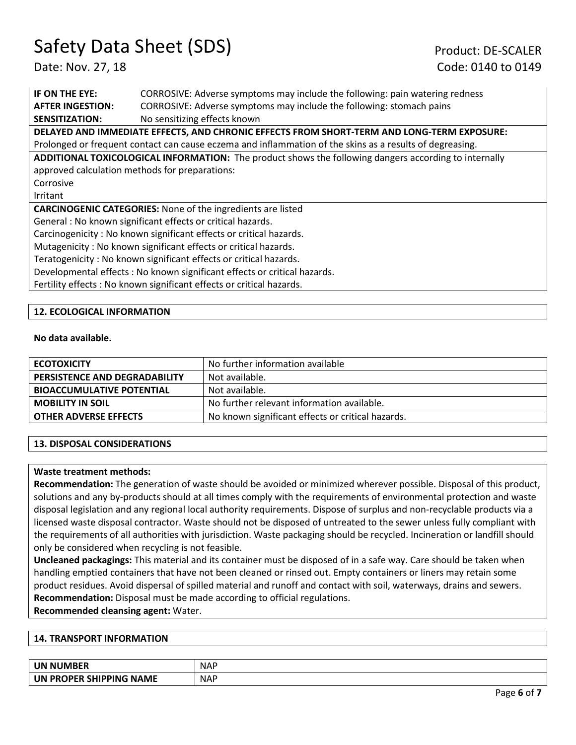**IF ON THE EYE:** CORROSIVE: Adverse symptoms may include the following: pain watering redness **AFTER INGESTION:** CORROSIVE: Adverse symptoms may include the following: stomach pains **SENSITIZATION:** No sensitizing effects known **DELAYED AND IMMEDIATE EFFECTS, AND CHRONIC EFFECTS FROM SHORT-TERM AND LONG-TERM EXPOSURE:**  Prolonged or frequent contact can cause eczema and inflammation of the skins as a results of degreasing. **ADDITIONAL TOXICOLOGICAL INFORMATION:** The product shows the following dangers according to internally approved calculation methods for preparations: Corrosive Irritant **CARCINOGENIC CATEGORIES:** None of the ingredients are listed General : No known significant effects or critical hazards. Carcinogenicity : No known significant effects or critical hazards. Mutagenicity : No known significant effects or critical hazards. Teratogenicity : No known significant effects or critical hazards. Developmental effects : No known significant effects or critical hazards.

Fertility effects : No known significant effects or critical hazards.

#### **12. ECOLOGICAL INFORMATION**

#### **No data available.**

| <b>ECOTOXICITY</b>                   | No further information available                  |
|--------------------------------------|---------------------------------------------------|
| <b>PERSISTENCE AND DEGRADABILITY</b> | Not available.                                    |
| <b>BIOACCUMULATIVE POTENTIAL</b>     | Not available.                                    |
| <b>MOBILITY IN SOIL</b>              | No further relevant information available.        |
| <b>OTHER ADVERSE EFFECTS</b>         | No known significant effects or critical hazards. |

#### **13. DISPOSAL CONSIDERATIONS**

#### **Waste treatment methods:**

**Recommendation:** The generation of waste should be avoided or minimized wherever possible. Disposal of this product, solutions and any by-products should at all times comply with the requirements of environmental protection and waste disposal legislation and any regional local authority requirements. Dispose of surplus and non-recyclable products via a licensed waste disposal contractor. Waste should not be disposed of untreated to the sewer unless fully compliant with the requirements of all authorities with jurisdiction. Waste packaging should be recycled. Incineration or landfill should only be considered when recycling is not feasible.

**Uncleaned packagings:** This material and its container must be disposed of in a safe way. Care should be taken when handling emptied containers that have not been cleaned or rinsed out. Empty containers or liners may retain some product residues. Avoid dispersal of spilled material and runoff and contact with soil, waterways, drains and sewers. **Recommendation:** Disposal must be made according to official regulations.

**Recommended cleansing agent:** Water.

#### **14. TRANSPORT INFORMATION**

| <b>UN NUMBER</b>           | <b>NAF</b> |
|----------------------------|------------|
| <b>LIN PROPER SHIPPING</b> | <b>NAP</b> |
| <b>NAME</b>                |            |